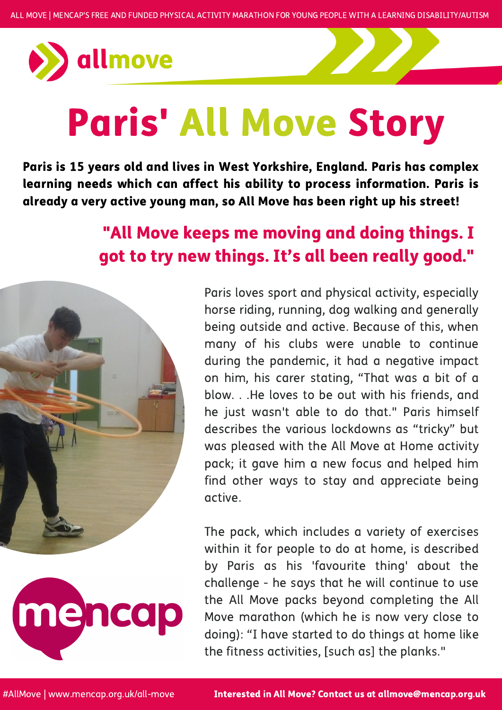

## Paris' All Move Story

Paris loves sport and physical activity, especially horse riding, running, dog walking and generally being outside and active. Because of this, when many of his clubs were unable to continue during the pandemic, it had a negative impact on him, his carer stating, "That was a bit of a blow. . .He loves to be out with his friends, and he just wasn't able to do that." Paris himself describes the various lockdowns as "tricky" but was pleased with the All Move at Home activity pack; it gave him a new focus and helped him find other ways to stay and appreciate being active.



The pack, which includes a variety of exercises within it for people to do at home, is described by Paris as his 'favourite thing' about the challenge - he says that he will continue to use the All Move packs beyond completing the All Move marathon (which he is now very close to doing): "I have started to do things at home like the fitness activities, [such as] the planks."

Paris is 15 years old and lives in West Yorkshire, England. Paris has complex learning needs which can affect his ability to process information. Paris is already a very active young man, so All Move has been right up his street!

Interested in All Move? Contact us at allmove@mencap.org.uk

## "All Move keeps me moving and doing things. I got to try new things. It's all been really good. "